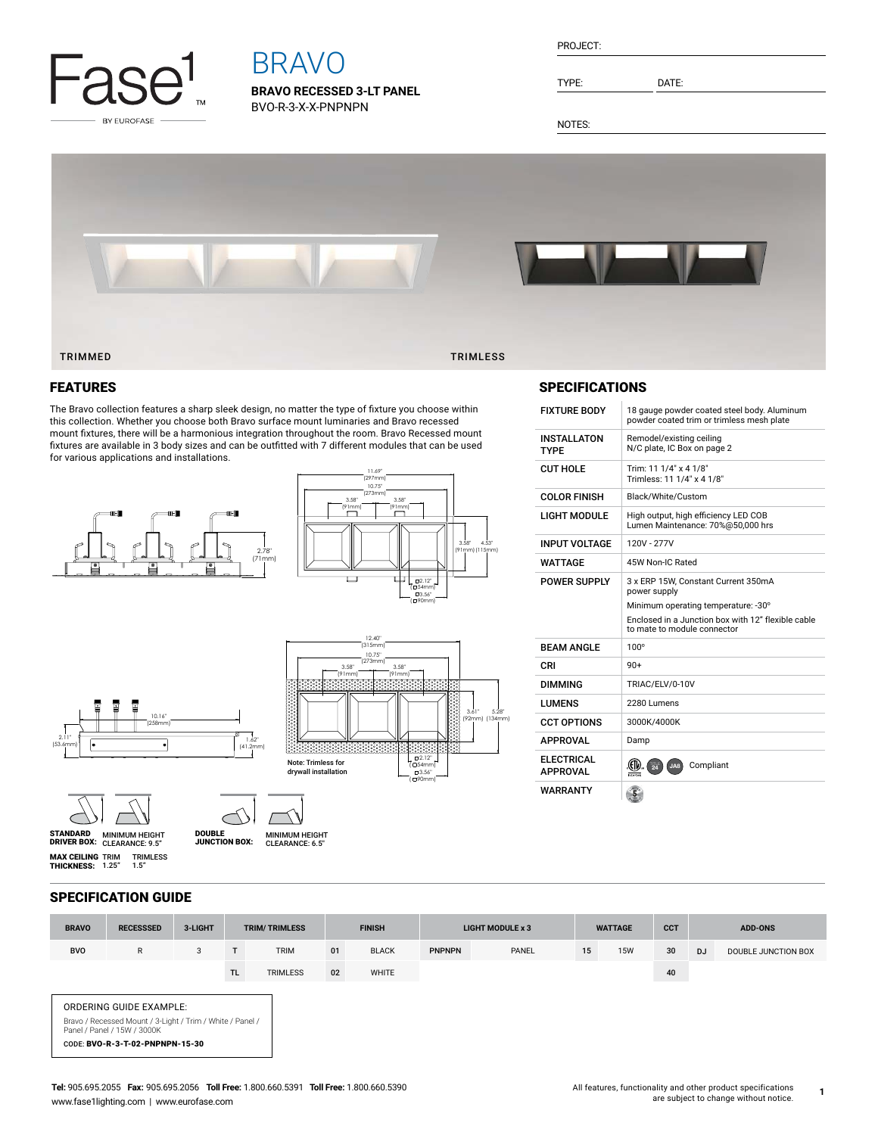

# BRAVO

**BRAVO RECESSED 3-LT PANEL** BVO-R-3-X-X-PNPNPN

| RN. | ΙF |  |
|-----|----|--|
|     |    |  |
|     |    |  |

TYPE: DATE:

NOTES:



## FEATURES

The Bravo collection features a sharp sleek design, no matter the type of fixture you choose within this collection. Whether you choose both Bravo surface mount luminaries and Bravo recessed mount fixtures, there will be a harmonious integration throughout the room. Bravo Recessed mount fixtures are available in 3 body sizes and can be outfitted with 7 different modules that can be used for various applications and installations.





## **SPECIFICATIONS**

| <b>FIXTURE BODY</b>           | 18 gauge powder coated steel body. Aluminum<br>powder coated trim or trimless mesh plate |
|-------------------------------|------------------------------------------------------------------------------------------|
| INSTALLATON<br>TYPF           | Remodel/existing ceiling<br>N/C plate, IC Box on page 2                                  |
| CUT HOLE                      | Trim: 11 1/4" x 4 1/8"<br>Trimless: 11 1/4" x 4 1/8"                                     |
| COLOR FINISH                  | Black/White/Custom                                                                       |
| LIGHT MODULE                  | High output, high efficiency LED COB<br>Lumen Maintenance: 70%@50,000 hrs                |
| <b>INPUT VOLTAGE</b>          | 120V - 277V                                                                              |
| WATTAGE                       | 45W Non-IC Rated                                                                         |
| POWER SUPPLY                  | 3 x ERP 15W, Constant Current 350mA<br>power supply                                      |
|                               | Minimum operating temperature: -30°                                                      |
|                               | Enclosed in a Junction box with 12" flexible cable<br>to mate to module connector        |
| RFAM ANGI F                   | $100^\circ$                                                                              |
| CRI                           | $90+$                                                                                    |
| DIMMING                       | TRIAC/ELV/0-10V                                                                          |
| LUMENS                        | 2280 Lumens                                                                              |
| <b>CCT OPTIONS</b>            | 3000K/4000K                                                                              |
| <b>APPROVAL</b>               | Damp                                                                                     |
| ELECTRICAL<br><b>APPROVAL</b> | Compliant<br>JA8<br>Intertek                                                             |
| WARRANTY                      | 5                                                                                        |





⊂ ノ  $\prime$ 



CLEARANCE: 6.5"

**MAX CEILING** TRIM TRIMLESS<br>**THICKNESS:** 1.25" 1.5"

SPECIFICATION GUIDE

ORDERING GUIDE EXAMPLE:

CODE: BVO-R-3-T-02-PNPNPN-15-30

Bravo / Recessed Mount / 3-Light / Trim / White / Panel / Panel / Panel / 15W / 3000K

MINIMUM HEIGHT CLEARANCE: 9.5" STANDARD DRIVER BOX: MINIMUM HEIGHT JUNCTION BOX:



12.40"  $(315$ 

**BRAVO RECESSSED 3-LIGHT TRIM/ TRIMLESS FINISH LIGHT MODULE x 3 WATTAGE CCT ADD-ONS**

BVO R 3 T TRIM 01 BLACK PNPNPN PANEL 15 15W 30 DJ DOUBLE JUNCTION BOX TL TRIMLESS 02 WHITE 40

**1**